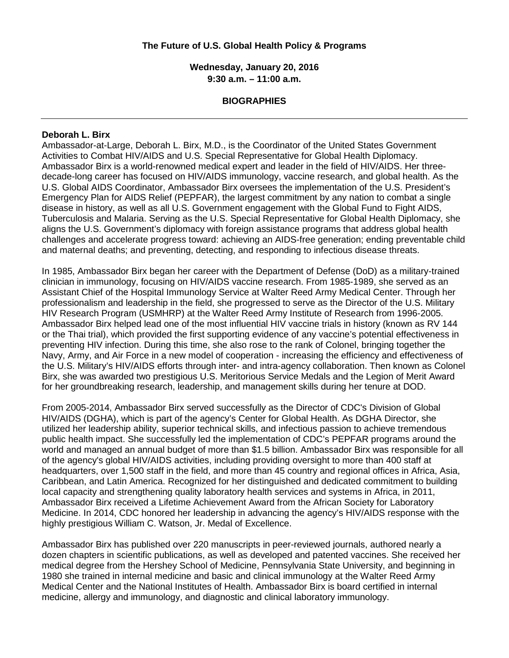## **The Future of U.S. Global Health Policy & Programs**

**Wednesday, January 20, 2016 9:30 a.m. – 11:00 a.m.**

## **BIOGRAPHIES**

#### **Deborah L. Birx**

Ambassador-at-Large, Deborah L. Birx, M.D., is the Coordinator of the United States Government Activities to Combat HIV/AIDS and U.S. Special Representative for Global Health Diplomacy. Ambassador Birx is a world-renowned medical expert and leader in the field of HIV/AIDS. Her threedecade-long career has focused on HIV/AIDS immunology, vaccine research, and global health. As the U.S. Global AIDS Coordinator, Ambassador Birx oversees the implementation of the U.S. President's Emergency Plan for AIDS Relief (PEPFAR), the largest commitment by any nation to combat a single disease in history, as well as all U.S. Government engagement with the Global Fund to Fight AIDS, Tuberculosis and Malaria. Serving as the U.S. Special Representative for Global Health Diplomacy, she aligns the U.S. Government's diplomacy with foreign assistance programs that address global health challenges and accelerate progress toward: achieving an AIDS-free generation; ending preventable child and maternal deaths; and preventing, detecting, and responding to infectious disease threats.

In 1985, Ambassador Birx began her career with the Department of Defense (DoD) as a military-trained clinician in immunology, focusing on HIV/AIDS vaccine research. From 1985-1989, she served as an Assistant Chief of the Hospital Immunology Service at Walter Reed Army Medical Center. Through her professionalism and leadership in the field, she progressed to serve as the Director of the U.S. Military HIV Research Program (USMHRP) at the Walter Reed Army Institute of Research from 1996-2005. Ambassador Birx helped lead one of the most influential HIV vaccine trials in history (known as RV 144 or the Thai trial), which provided the first supporting evidence of any vaccine's potential effectiveness in preventing HIV infection. During this time, she also rose to the rank of Colonel, bringing together the Navy, Army, and Air Force in a new model of cooperation - increasing the efficiency and effectiveness of the U.S. Military's HIV/AIDS efforts through inter- and intra-agency collaboration. Then known as Colonel Birx, she was awarded two prestigious U.S. Meritorious Service Medals and the Legion of Merit Award for her groundbreaking research, leadership, and management skills during her tenure at DOD.

From 2005-2014, Ambassador Birx served successfully as the Director of CDC's Division of Global HIV/AIDS (DGHA), which is part of the agency's Center for Global Health. As DGHA Director, she utilized her leadership ability, superior technical skills, and infectious passion to achieve tremendous public health impact. She successfully led the implementation of CDC's PEPFAR programs around the world and managed an annual budget of more than \$1.5 billion. Ambassador Birx was responsible for all of the agency's global HIV/AIDS activities, including providing oversight to more than 400 staff at headquarters, over 1,500 staff in the field, and more than 45 country and regional offices in Africa, Asia, Caribbean, and Latin America. Recognized for her distinguished and dedicated commitment to building local capacity and strengthening quality laboratory health services and systems in Africa, in 2011, Ambassador Birx received a Lifetime Achievement Award from the African Society for Laboratory Medicine. In 2014, CDC honored her leadership in advancing the agency's HIV/AIDS response with the highly prestigious William C. Watson, Jr. Medal of Excellence.

Ambassador Birx has published over 220 manuscripts in peer-reviewed journals, authored nearly a dozen chapters in scientific publications, as well as developed and patented vaccines. She received her medical degree from the Hershey School of Medicine, Pennsylvania State University, and beginning in 1980 she trained in internal medicine and basic and clinical immunology at the Walter Reed Army Medical Center and the National Institutes of Health. Ambassador Birx is board certified in internal medicine, allergy and immunology, and diagnostic and clinical laboratory immunology.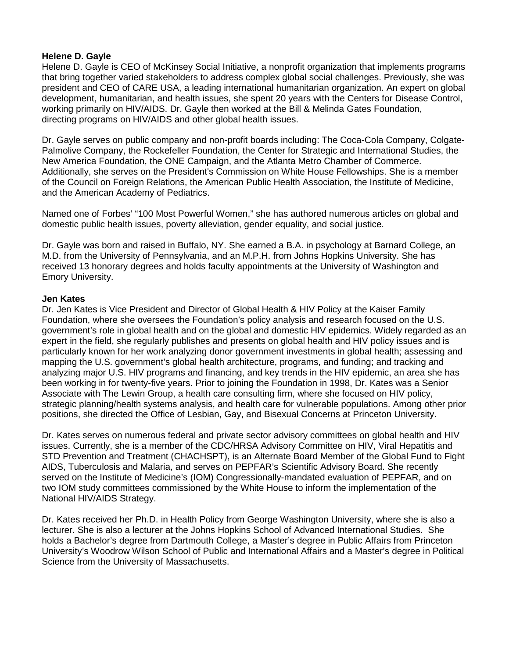### **Helene D. Gayle**

Helene D. Gayle is CEO of McKinsey Social Initiative, a nonprofit organization that implements programs that bring together varied stakeholders to address complex global social challenges. Previously, she was president and CEO of CARE USA, a leading international humanitarian organization. An expert on global development, humanitarian, and health issues, she spent 20 years with the Centers for Disease Control, working primarily on HIV/AIDS. Dr. Gayle then worked at the Bill & Melinda Gates Foundation, directing programs on HIV/AIDS and other global health issues.

Dr. Gayle serves on public company and non-profit boards including: The Coca-Cola Company, Colgate-Palmolive Company, the Rockefeller Foundation, the Center for Strategic and International Studies, the New America Foundation, the ONE Campaign, and the Atlanta Metro Chamber of Commerce. Additionally, she serves on the President's Commission on White House Fellowships. She is a member of the Council on Foreign Relations, the American Public Health Association, the Institute of Medicine, and the American Academy of Pediatrics.

Named one of Forbes' "100 Most Powerful Women," she has authored numerous articles on global and domestic public health issues, poverty alleviation, gender equality, and social justice.

Dr. Gayle was born and raised in Buffalo, NY. She earned a B.A. in psychology at Barnard College, an M.D. from the University of Pennsylvania, and an M.P.H. from Johns Hopkins University. She has received 13 honorary degrees and holds faculty appointments at the University of Washington and Emory University.

## **Jen Kates**

Dr. Jen Kates is Vice President and Director of Global Health & HIV Policy at the Kaiser Family Foundation, where she oversees the Foundation's policy analysis and research focused on the U.S. government's role in global health and on the global and domestic HIV epidemics. Widely regarded as an expert in the field, she regularly publishes and presents on global health and HIV policy issues and is particularly known for her work analyzing donor government investments in global health; assessing and mapping the U.S. government's global health architecture, programs, and funding; and tracking and analyzing major U.S. HIV programs and financing, and key trends in the HIV epidemic, an area she has been working in for twenty-five years. Prior to joining the Foundation in 1998, Dr. Kates was a Senior Associate with The Lewin Group, a health care consulting firm, where she focused on HIV policy, strategic planning/health systems analysis, and health care for vulnerable populations. Among other prior positions, she directed the Office of Lesbian, Gay, and Bisexual Concerns at Princeton University.

Dr. Kates serves on numerous federal and private sector advisory committees on global health and HIV issues. Currently, she is a member of the CDC/HRSA Advisory Committee on HIV, Viral Hepatitis and STD Prevention and Treatment (CHACHSPT), is an Alternate Board Member of the Global Fund to Fight AIDS, Tuberculosis and Malaria, and serves on PEPFAR's Scientific Advisory Board. She recently served on the Institute of Medicine's (IOM) Congressionally-mandated evaluation of PEPFAR, and on two IOM study committees commissioned by the White House to inform the implementation of the National HIV/AIDS Strategy.

Dr. Kates received her Ph.D. in Health Policy from George Washington University, where she is also a lecturer. She is also a lecturer at the Johns Hopkins School of Advanced International Studies. She holds a Bachelor's degree from Dartmouth College, a Master's degree in Public Affairs from Princeton University's Woodrow Wilson School of Public and International Affairs and a Master's degree in Political Science from the University of Massachusetts.